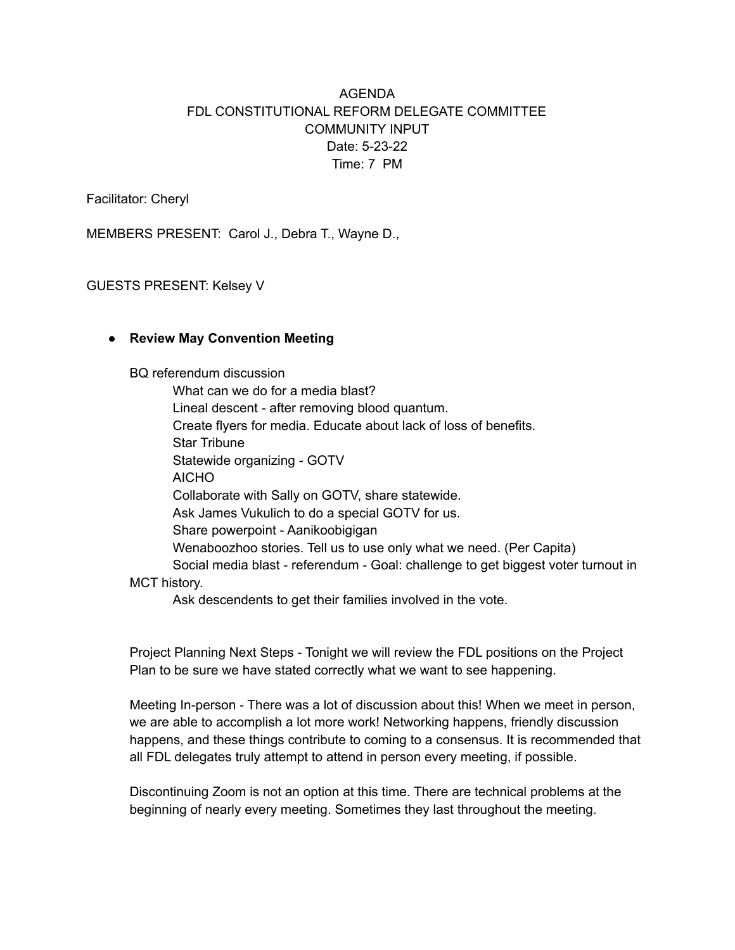# AGENDA FDL CONSTITUTIONAL REFORM DELEGATE COMMITTEE COMMUNITY INPUT Date: 5-23-22 Time: 7 PM

Facilitator: Cheryl

MEMBERS PRESENT: Carol J., Debra T., Wayne D.,

GUESTS PRESENT: Kelsey V

#### ● **Review May Convention Meeting**

BQ referendum discussion

What can we do for a media blast? Lineal descent - after removing blood quantum. Create flyers for media. Educate about lack of loss of benefits. Star Tribune Statewide organizing - GOTV AICHO Collaborate with Sally on GOTV, share statewide. Ask James Vukulich to do a special GOTV for us. Share powerpoint - Aanikoobigigan Wenaboozhoo stories. Tell us to use only what we need. (Per Capita) Social media blast - referendum - Goal: challenge to get biggest voter turnout in MCT history.

Ask descendents to get their families involved in the vote.

Project Planning Next Steps - Tonight we will review the FDL positions on the Project Plan to be sure we have stated correctly what we want to see happening.

Meeting In-person - There was a lot of discussion about this! When we meet in person, we are able to accomplish a lot more work! Networking happens, friendly discussion happens, and these things contribute to coming to a consensus. It is recommended that all FDL delegates truly attempt to attend in person every meeting, if possible.

Discontinuing Zoom is not an option at this time. There are technical problems at the beginning of nearly every meeting. Sometimes they last throughout the meeting.